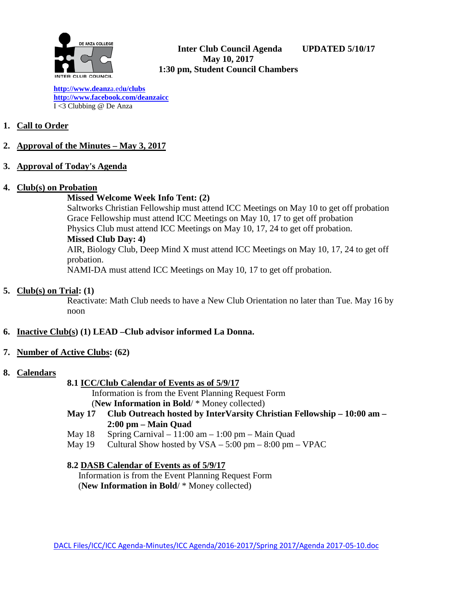

**[http://www.deanz](http://www.deanza.edu/clubs)**[a.ed](http://www.deanza.edu/clubs)**[u/clubs](http://www.deanza.edu/clubs) [http://www.facebook.com/deanzaicc](http://www.facebook.com/home.php#!/group.php?gid=59034552686)** I <3 Clubbing @ De Anza

## **1. Call to Order**

- **2. Approval of the Minutes – May 3, 2017**
- **3. Approval of Today's Agenda**

### **4. Club(s) on Probation**

### **Missed Welcome Week Info Tent: (2)**

Saltworks Christian Fellowship must attend ICC Meetings on May 10 to get off probation Grace Fellowship must attend ICC Meetings on May 10, 17 to get off probation Physics Club must attend ICC Meetings on May 10, 17, 24 to get off probation. **Missed Club Day: 4)** AIR, Biology Club, Deep Mind X must attend ICC Meetings on May 10, 17, 24 to get off probation.

NAMI-DA must attend ICC Meetings on May 10, 17 to get off probation.

## **5. Club(s) on Trial: (1)**

Reactivate: Math Club needs to have a New Club Orientation no later than Tue. May 16 by noon

## **6. Inactive Club(s) (1) LEAD –Club advisor informed La Donna.**

## **7. Number of Active Clubs: (62)**

## **8. Calendars**

**8.1 ICC/Club Calendar of Events as of 5/9/17**

 Information is from the Event Planning Request Form (**New Information in Bold**/ \* Money collected)

- **May 17 Club Outreach hosted by InterVarsity Christian Fellowship – 10:00 am – 2:00 pm – Main Quad**
- May  $18$  Spring Carnival  $11:00$  am  $1:00$  pm Main Quad
- May  $19$  Cultural Show hosted by  $VSA 5:00 \text{ pm} 8:00 \text{ pm} \text{VPAC}$

## **8.2 DASB Calendar of Events as of 5/9/17**

Information is from the Event Planning Request Form (**New Information in Bold**/ \* Money collected)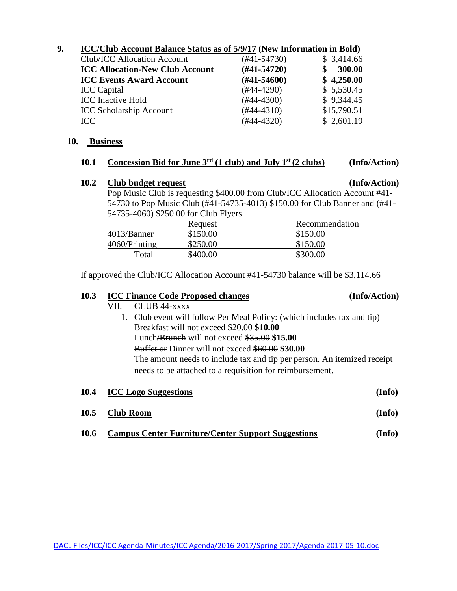### **9. ICC/Club Account Balance Status as of 5/9/17 (New Information in Bold)**

| Club/ICC Allocation Account<br>(#41-54730)              | \$3,414.66  |
|---------------------------------------------------------|-------------|
| $(H41-54720)$<br><b>ICC Allocation-New Club Account</b> | 300.00      |
| $(\#41 - 54600)$<br><b>ICC Events Award Account</b>     | \$4,250.00  |
| $(#44-4290)$<br><b>ICC</b> Capital                      | \$5,530.45  |
| <b>ICC</b> Inactive Hold<br>$(#44-4300)$                | \$9,344.45  |
| $(#44-4310)$<br><b>ICC Scholarship Account</b>          | \$15,790.51 |
| $(#44-4320)$<br>ICC                                     | \$2,601.19  |

#### **10. Business**

#### **10.1 Concession Bid for June 3rd (1 club) and July 1st (2 clubs) (Info/Action)**

## **10.2 Club budget request (Info/Action)**

Pop Music Club is requesting \$400.00 from Club/ICC Allocation Account #41- 54730 to Pop Music Club (#41-54735-4013) \$150.00 for Club Banner and (#41- 54735-4060) \$250.00 for Club Flyers.

|               | Request  | Recommendation |
|---------------|----------|----------------|
| 4013/Banner   | \$150.00 | \$150.00       |
| 4060/Printing | \$250.00 | \$150.00       |
| Total         | \$400.00 | \$300.00       |

If approved the Club/ICC Allocation Account #41-54730 balance will be \$3,114.66

# **10.3 ICC Finance Code Proposed changes (Info/Action)**

| 1V.J |                  | TCC FINANCE COUL I FOROSCU CHANGES                                      | \ 1111V/ACUVII ) |
|------|------------------|-------------------------------------------------------------------------|------------------|
|      | VII.             | CLUB 44-xxxx                                                            |                  |
|      |                  | 1. Club event will follow Per Meal Policy: (which includes tax and tip) |                  |
|      |                  | Breakfast will not exceed \$20.00 \$10.00                               |                  |
|      |                  | Lunch/Brunch will not exceed $$35.00$ \$15.00                           |                  |
|      |                  | Buffet or Dinner will not exceed \$60.00 \$30.00                        |                  |
|      |                  | The amount needs to include tax and tip per person. An itemized receipt |                  |
|      |                  | needs to be attached to a requisition for reimbursement.                |                  |
| 10.4 |                  | <b>ICC Logo Suggestions</b>                                             | (Info)           |
|      |                  |                                                                         |                  |
| 10.5 | <b>Club Room</b> |                                                                         | (Info)           |
|      |                  |                                                                         |                  |

**10.6 Campus Center Furniture/Center Support Suggestions (Info)**